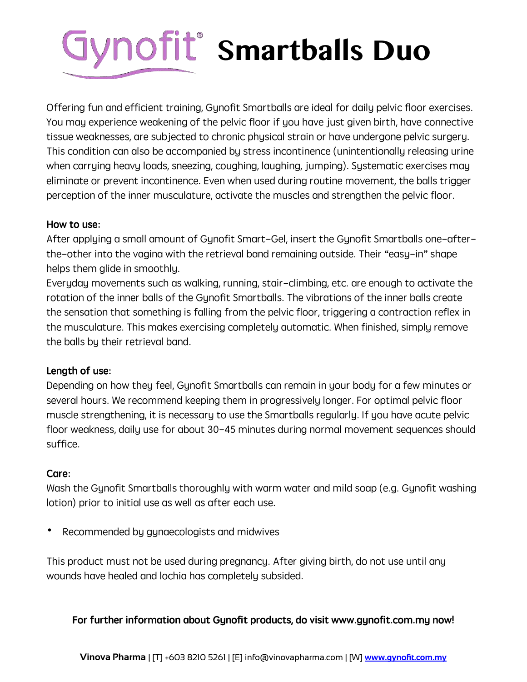# **Smartballs Duo**

Offering fun and efficient training, Gynofit Smartballs are ideal for daily pelvic floor exercises. You may experience weakening of the pelvic floor if you have just given birth, have connective tissue weaknesses, are subjected to chronic physical strain or have undergone pelvic surgery. This condition can also be accompanied by stress incontinence (unintentionally releasing urine when carrying heavy loads, sneezing, coughing, laughing, jumping). Systematic exercises may eliminate or prevent incontinence. Even when used during routine movement, the balls trigger perception of the inner musculature, activate the muscles and strengthen the pelvic floor.

#### How to use:

After applying a small amount of Gynofit Smart-Gel, insert the Gynofit Smartballs one-afterthe-other into the vagina with the retrieval band remaining outside. Their "easy-in" shape helps them glide in smoothly.

Everyday movements such as walking, running, stair-climbing, etc. are enough to activate the rotation of the inner balls of the Gynofit Smartballs. The vibrations of the inner balls create the sensation that something is falling from the pelvic floor, triggering a contraction reflex in the musculature. This makes exercising completely automatic. When finished, simply remove the balls by their retrieval band.

## Length of use:

Depending on how they feel, Gynofit Smartballs can remain in your body for a few minutes or several hours. We recommend keeping them in progressively longer. For optimal pelvic floor muscle strengthening, it is necessary to use the Smartballs regularly. If you have acute pelvic floor weakness, daily use for about 30-45 minutes during normal movement sequences should suffice.

## Care:

Wash the Gynofit Smartballs thoroughly with warm water and mild soap (e.g. Gynofit washing lotion) prior to initial use as well as after each use.

Recommended by gynaecologists and midwives

This product must not be used during pregnancy. After giving birth, do not use until any wounds have healed and lochia has completely subsided.

## For further information about Gynofit products, do visit www.gynofit.com.my now!